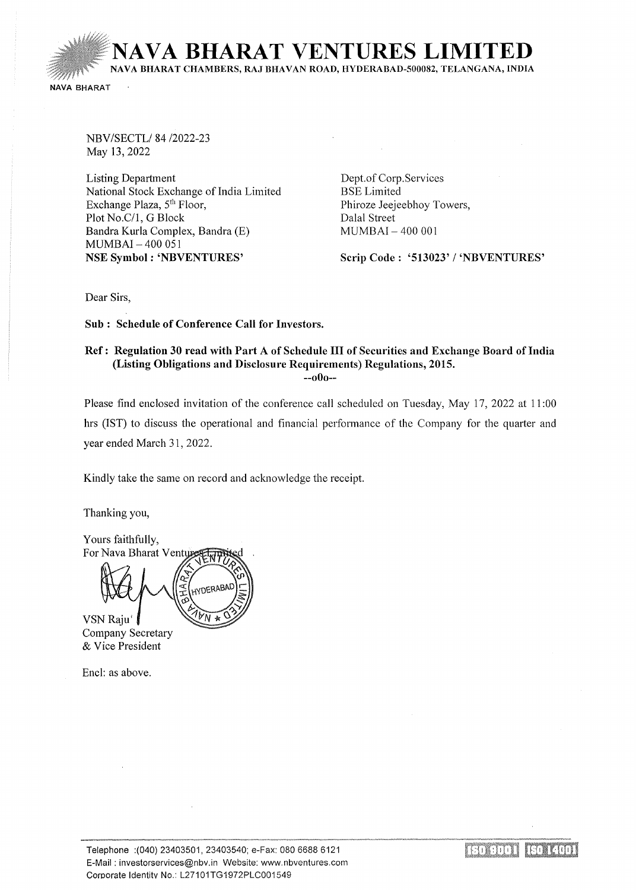**IAVA BHARAT VENTURES LIMITED** NAVA BHARAT CHAMBERS, RAJ BHAVAN ROAD, HYDERABAD-500082, TELANGANA, INDIA NAVA BHARAT

NBV/SECTL/84/2022-23 May 13,2022

Listing Department National Stock Exchange of India Limited Exchange Plaza, 5<sup>th</sup> Floor, Plot No.C/1, G Block Bandra Kurla Complex, Bandra (E) MUMBAI - 400 051 NSE Symbol : 'NBVENTURES'

Dept.of Corp.Services BSELimited Phiroze Jeejeebhoy Towers, Dalal Street MUMBAI- 400 001

Scrip Code : '513023' / 'NBVENTURES'

Dear Sirs,

Sub : Schedule of Conference Call for Investors.

## Ref: Regulation 30 read with Part A of Schedule III of Securities and Exchange Board of India (Listing Obligations and Disclosure Requirements) Regulations, 2015.

--oOo--

Please find enclosed invitation of the conference call scheduled on Tuesday, May 17, 2022 at 11:00 hrs (1ST) to discuss the operational and financial performance of the Company for the quarter and year ended March 31, 2022.

Kindly take the same on record and acknowledge the receipt.

Thanking you,

Yours faithfully, For Nava Bharat Ventu **IYDERABAI** 

VSNRaju' Company Secretary & Vice President

Encl: as above.